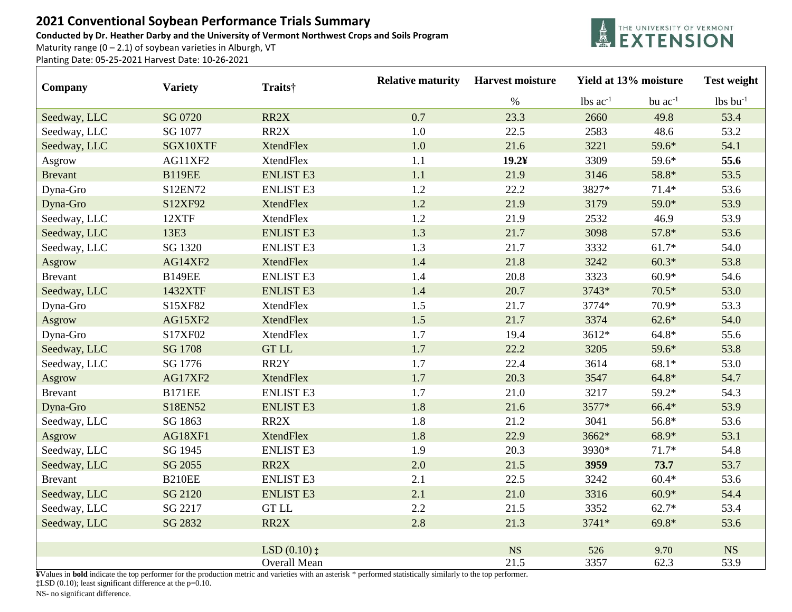## **2021 Conventional Soybean Performance Trials Summary**

**Conducted by Dr. Heather Darby and the University of Vermont Northwest Crops and Soils Program**

Maturity range  $(0 - 2.1)$  of soybean varieties in Alburgh, VT

Planting Date: 05-25-2021 Harvest Date: 10-26-2021



| Company        | <b>Variety</b> | Traits†                                | <b>Relative maturity</b> | <b>Harvest moisture</b> | Yield at 13% moisture |              | <b>Test weight</b> |
|----------------|----------------|----------------------------------------|--------------------------|-------------------------|-----------------------|--------------|--------------------|
|                |                |                                        |                          | $\%$                    | lbs $ac^{-1}$         | bu $ac^{-1}$ | $lbs$ bu $l$       |
| Seedway, LLC   | SG 0720        | RR2X                                   | 0.7                      | 23.3                    | 2660                  | 49.8         | 53.4               |
| Seedway, LLC   | SG 1077        | RR2X                                   | 1.0                      | 22.5                    | 2583                  | 48.6         | 53.2               |
| Seedway, LLC   | SGX10XTF       | <b>XtendFlex</b>                       | 1.0                      | 21.6                    | 3221                  | 59.6*        | 54.1               |
| Asgrow         | AG11XF2        | <b>XtendFlex</b>                       | 1.1                      | $19.2$ ¥                | 3309                  | 59.6*        | 55.6               |
| <b>Brevant</b> | <b>B119EE</b>  | <b>ENLIST E3</b>                       | 1.1                      | 21.9                    | 3146                  | 58.8*        | 53.5               |
| Dyna-Gro       | S12EN72        | <b>ENLIST E3</b>                       | 1.2                      | 22.2                    | 3827*                 | $71.4*$      | 53.6               |
| Dyna-Gro       | S12XF92        | <b>XtendFlex</b>                       | 1.2                      | 21.9                    | 3179                  | 59.0*        | 53.9               |
| Seedway, LLC   | 12XTF          | <b>XtendFlex</b>                       | 1.2                      | 21.9                    | 2532                  | 46.9         | 53.9               |
| Seedway, LLC   | 13E3           | <b>ENLIST E3</b>                       | 1.3                      | 21.7                    | 3098                  | $57.8*$      | 53.6               |
| Seedway, LLC   | SG 1320        | <b>ENLIST E3</b>                       | 1.3                      | 21.7                    | 3332                  | $61.7*$      | 54.0               |
| Asgrow         | AG14XF2        | <b>XtendFlex</b>                       | 1.4                      | 21.8                    | 3242                  | $60.3*$      | 53.8               |
| <b>Brevant</b> | <b>B149EE</b>  | <b>ENLIST E3</b>                       | 1.4                      | 20.8                    | 3323                  | $60.9*$      | 54.6               |
| Seedway, LLC   | 1432XTF        | <b>ENLIST E3</b>                       | 1.4                      | 20.7                    | 3743*                 | $70.5*$      | 53.0               |
| Dyna-Gro       | S15XF82        | <b>XtendFlex</b>                       | 1.5                      | 21.7                    | 3774*                 | 70.9*        | 53.3               |
| Asgrow         | AG15XF2        | <b>XtendFlex</b>                       | 1.5                      | 21.7                    | 3374                  | $62.6*$      | 54.0               |
| Dyna-Gro       | S17XF02        | <b>XtendFlex</b>                       | 1.7                      | 19.4                    | 3612*                 | $64.8*$      | 55.6               |
| Seedway, LLC   | SG 1708        | <b>GT LL</b>                           | 1.7                      | 22.2                    | 3205                  | 59.6*        | 53.8               |
| Seedway, LLC   | SG 1776        | RR2Y                                   | 1.7                      | 22.4                    | 3614                  | $68.1*$      | 53.0               |
| Asgrow         | AG17XF2        | <b>XtendFlex</b>                       | 1.7                      | 20.3                    | 3547                  | $64.8*$      | 54.7               |
| <b>Brevant</b> | <b>B171EE</b>  | <b>ENLIST E3</b>                       | 1.7                      | 21.0                    | 3217                  | 59.2*        | 54.3               |
| Dyna-Gro       | S18EN52        | <b>ENLIST E3</b>                       | 1.8                      | 21.6                    | 3577*                 | 66.4*        | 53.9               |
| Seedway, LLC   | SG 1863        | RR2X                                   | 1.8                      | 21.2                    | 3041                  | 56.8*        | 53.6               |
| Asgrow         | AG18XF1        | <b>XtendFlex</b>                       | 1.8                      | 22.9                    | 3662*                 | 68.9*        | 53.1               |
| Seedway, LLC   | SG 1945        | <b>ENLIST E3</b>                       | 1.9                      | 20.3                    | 3930*                 | $71.7*$      | 54.8               |
| Seedway, LLC   | SG 2055        | RR2X                                   | 2.0                      | 21.5                    | 3959                  | 73.7         | 53.7               |
| <b>Brevant</b> | <b>B210EE</b>  | <b>ENLIST E3</b>                       | 2.1                      | 22.5                    | 3242                  | $60.4*$      | 53.6               |
| Seedway, LLC   | SG 2120        | <b>ENLIST E3</b>                       | 2.1                      | 21.0                    | 3316                  | $60.9*$      | 54.4               |
| Seedway, LLC   | SG 2217        | <b>GT LL</b>                           | 2.2                      | 21.5                    | 3352                  | $62.7*$      | 53.4               |
| Seedway, LLC   | SG 2832        | RR2X                                   | 2.8                      | 21.3                    | $3741*$               | $69.8*$      | 53.6               |
|                |                |                                        |                          |                         |                       |              |                    |
|                |                | $LSD(0.10)$ $\ddagger$<br>Overall Mean |                          | NS<br>21.5              | 526<br>3357           | 9.70<br>62.3 | <b>NS</b><br>53.9  |
|                |                |                                        |                          |                         |                       |              |                    |

**¥**Values in **bold** indicate the top performer for the production metric and varieties with an asterisk \* performed statistically similarly to the top performer. **‡**LSD (0.10); least significant difference at the p=0.10.

NS- no significant difference.